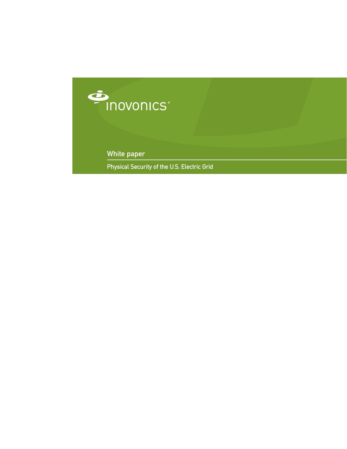

White paper

Physical Security of the U.S. Electric Grid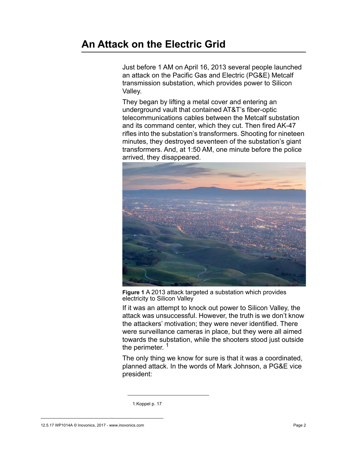# **An Attack on the Electric Grid**

Just before 1 AM on April 16, 2013 several people launched an attack on the Pacific Gas and Electric (PG&E) Metcalf transmission substation, which provides power to Silicon Valley.

They began by lifting a metal cover and entering an underground vault that contained AT&T's fiber-optic telecommunications cables between the Metcalf substation and its command center, which they cut. Then fired AK-47 rifles into the substation's transformers. Shooting for nineteen minutes, they destroyed seventeen of the substation's giant transformers. And, at 1:50 AM, one minute before the police arrived, they disappeared.



**Figure 1** A 2013 attack targeted a substation which provides electricity to Silicon Valley

If it was an attempt to knock out power to Silicon Valley, the attack was unsuccessful. However, the truth is we don't know the attackers' motivation; they were never identified. There were surveillance cameras in place, but they were all aimed towards the substation, while the shooters stood just outside the perimeter.<sup>1</sup>

The only thing we know for sure is that it was a coordinated, planned attack. In the words of Mark Johnson, a PG&E vice president:

<sup>1.</sup>Koppel p. 17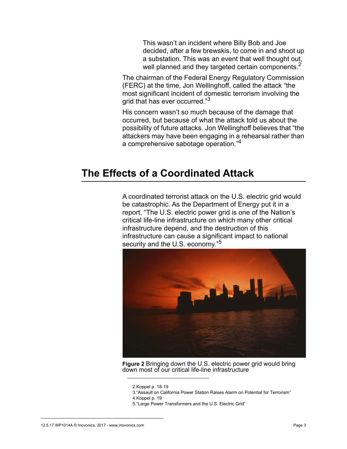This wasn't an incident where Billy Bob and Joe decided, after a few brewskis, to come in and shoot up a substation. This was an event that well thought out, well planned and they targeted certain components.<sup>2</sup>

The chairman of the Federal Energy Regulatory Commission (FERC) at the time, Jon Wellinghoff, called the attack "the most significant incident of domestic terrorism involving the arid that has ever occurred."<sup>3</sup>

His concern wasn't so much because of the damage that occurred, but because of what the attack told us about the possibility of future attacks. Jon Wellinghoff believes that "the attackers may have been engaging in a rehearsal rather than a comprehensive sabotage operation."<sup>4</sup>

### **The Effects of a Coordinated Attack**

A coordinated terrorist attack on the U.S. electric grid would be catastrophic. As the Department of Energy put it in a report, "The U.S. electric power grid is one of the Nation's critical life-line infrastructure on which many other critical infrastructure depend, and the destruction of this infrastructure can cause a significant impact to national security and the U.S. economy."<sup>5</sup>



**Figure 2** Bringing down the U.S. electric power grid would bring down most of our critical life-line infrastructure

<sup>2.</sup>Koppel p. 18-19

<sup>3.&</sup>quot;Assault on California Power Station Raises Alarm on Potential for Terrorism" 4 Koppel p. 19

<sup>5.&</sup>quot;Large Power Transformers and the U.S. Electric Grid"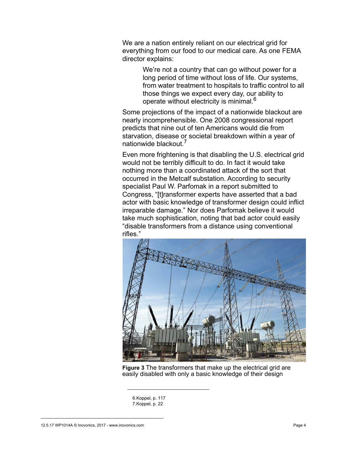We are a nation entirely reliant on our electrical grid for everything from our food to our medical care. As one FEMA director explains:

> We're not a country that can go without power for a long period of time without loss of life. Our systems, from water treatment to hospitals to traffic control to all those things we expect every day, our ability to operate without electricity is minimal.<sup>6</sup>

Some projections of the impact of a nationwide blackout are nearly incomprehensible. One 2008 congressional report predicts that nine out of ten Americans would die from starvation, disease or societal breakdown within a year of nationwide blackout.<sup>7</sup>

Even more frightening is that disabling the U.S. electrical grid would not be terribly difficult to do. In fact it would take nothing more than a coordinated attack of the sort that occurred in the Metcalf substation. According to security specialist Paul W. Parfomak in a report submitted to Congress, "[t]ransformer experts have asserted that a bad actor with basic knowledge of transformer design could inflict irreparable damage." Nor does Parfomak believe it would take much sophistication, noting that bad actor could easily "disable transformers from a distance using conventional rifles."



**Figure 3** The transformers that make up the electrical grid are easily disabled with only a basic knowledge of their design

6.Koppel, p. 117 7.Koppel, p. 22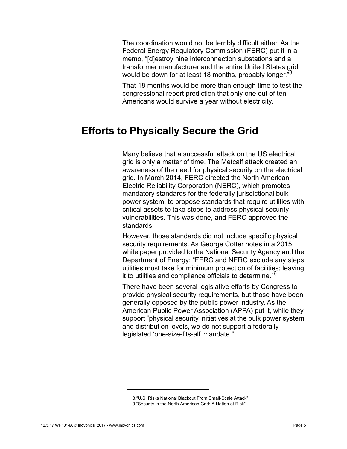The coordination would not be terribly difficult either. As the Federal Energy Regulatory Commission (FERC) put it in a memo, "[d]estroy nine interconnection substations and a transformer manufacturer and the entire United States grid would be down for at least 18 months, probably longer."<sup>8</sup>

That 18 months would be more than enough time to test the congressional report prediction that only one out of ten Americans would survive a year without electricity.

## **Efforts to Physically Secure the Grid**

Many believe that a successful attack on the US electrical grid is only a matter of time. The Metcalf attack created an awareness of the need for physical security on the electrical grid. In March 2014, FERC directed the North American Electric Reliability Corporation (NERC), which promotes mandatory standards for the federally jurisdictional bulk power system, to propose standards that require utilities with critical assets to take steps to address physical security vulnerabilities. This was done, and FERC approved the standards.

However, those standards did not include specific physical security requirements. As George Cotter notes in a 2015 white paper provided to the National Security Agency and the Department of Energy: "FERC and NERC exclude any steps utilities must take for minimum protection of facilities; leaving it to utilities and compliance officials to determine."<sup>9</sup>

There have been several legislative efforts by Congress to provide physical security requirements, but those have been generally opposed by the public power industry. As the American Public Power Association (APPA) put it, while they support "physical security initiatives at the bulk power system and distribution levels, we do not support a federally legislated 'one-size-fits-all' mandate."

<sup>8.&</sup>quot;U.S. Risks National Blackout From Small-Scale Attack"

<sup>9.&</sup>quot;Security in the North American Grid: A Nation at Risk"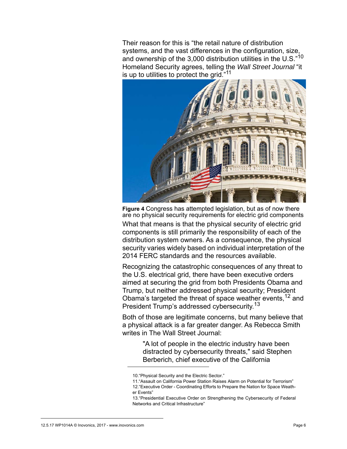Their reason for this is "the retail nature of distribution systems, and the vast differences in the configuration, size, and ownership of the 3,000 distribution utilities in the U.S. $n^{10}$ Homeland Security agrees, telling the *Wall Street Journal* "it is up to utilities to protect the grid."<sup>11</sup>



**Figure 4** Congress has attempted legislation, but as of now there are no physical security requirements for electric grid components

What that means is that the physical security of electric grid components is still primarily the responsibility of each of the distribution system owners. As a consequence, the physical security varies widely based on individual interpretation of the 2014 FERC standards and the resources available.

Recognizing the catastrophic consequences of any threat to the U.S. electrical grid, there have been executive orders aimed at securing the grid from both Presidents Obama and Trump, but neither addressed physical security; President Obama's targeted the threat of space weather events, <sup>12</sup> and President Trump's addressed cybersecurity.<sup>13</sup>

Both of those are legitimate concerns, but many believe that a physical attack is a far greater danger. As Rebecca Smith writes in The Wall Street Journal:

> "A lot of people in the electric industry have been distracted by cybersecurity threats," said Stephen Berberich, chief executive of the California

<sup>10.&</sup>quot;Physical Security and the Electric Sector."

<sup>11.&</sup>quot;Assault on California Power Station Raises Alarm on Potential for Terrorism"

<sup>12.&</sup>quot;Executive Order - Coordinating Efforts to Prepare the Nation for Space Weather Events"

<sup>13.&</sup>quot;Presidential Executive Order on Strengthening the Cybersecurity of Federal Networks and Critical Infrastructure"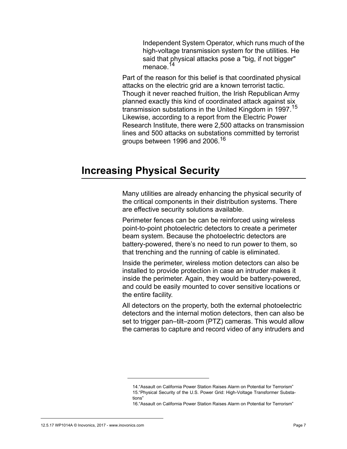Independent System Operator, which runs much of the high-voltage transmission system for the utilities. He said that physical attacks pose a "big, if not bigger" menace.<sup>14</sup>

Part of the reason for this belief is that coordinated physical attacks on the electric grid are a known terrorist tactic. Though it never reached fruition, the Irish Republican Army planned exactly this kind of coordinated attack against six transmission substations in the United Kingdom in 1997.<sup>15</sup> Likewise, according to a report from the Electric Power Research Institute, there were 2,500 attacks on transmission lines and 500 attacks on substations committed by terrorist groups between 1996 and 2006.<sup>16</sup>

### **Increasing Physical Security**

Many utilities are already enhancing the physical security of the critical components in their distribution systems. There are effective security solutions available.

Perimeter fences can be can be reinforced using wireless point-to-point photoelectric detectors to create a perimeter beam system. Because the photoelectric detectors are battery-powered, there's no need to run power to them, so that trenching and the running of cable is eliminated.

Inside the perimeter, wireless motion detectors can also be installed to provide protection in case an intruder makes it inside the perimeter. Again, they would be battery-powered, and could be easily mounted to cover sensitive locations or the entire facility.

All detectors on the property, both the external photoelectric detectors and the internal motion detectors, then can also be set to trigger pan–tilt–zoom (PTZ) cameras. This would allow the cameras to capture and record video of any intruders and

<sup>14.&</sup>quot;Assault on California Power Station Raises Alarm on Potential for Terrorism" 15."Physical Security of the U.S. Power Grid: High-Voltage Transformer Substations"

<sup>16.&</sup>quot;Assault on California Power Station Raises Alarm on Potential for Terrorism"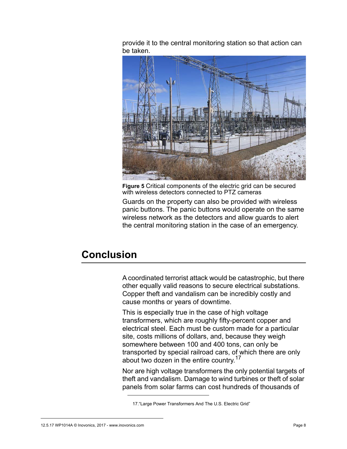provide it to the central monitoring station so that action can be taken.



**Figure 5** Critical components of the electric grid can be secured with wireless detectors connected to PTZ cameras

Guards on the property can also be provided with wireless panic buttons. The panic buttons would operate on the same wireless network as the detectors and allow guards to alert the central monitoring station in the case of an emergency.

## **Conclusion**

A coordinated terrorist attack would be catastrophic, but there other equally valid reasons to secure electrical substations. Copper theft and vandalism can be incredibly costly and cause months or years of downtime.

This is especially true in the case of high voltage transformers, which are roughly fifty-percent copper and electrical steel. Each must be custom made for a particular site, costs millions of dollars, and, because they weigh somewhere between 100 and 400 tons, can only be transported by special railroad cars, of which there are only about two dozen in the entire country.<sup>17</sup>

Nor are high voltage transformers the only potential targets of theft and vandalism. Damage to wind turbines or theft of solar panels from solar farms can cost hundreds of thousands of

<sup>17.&</sup>quot;Large Power Transformers And The U.S. Electric Grid"